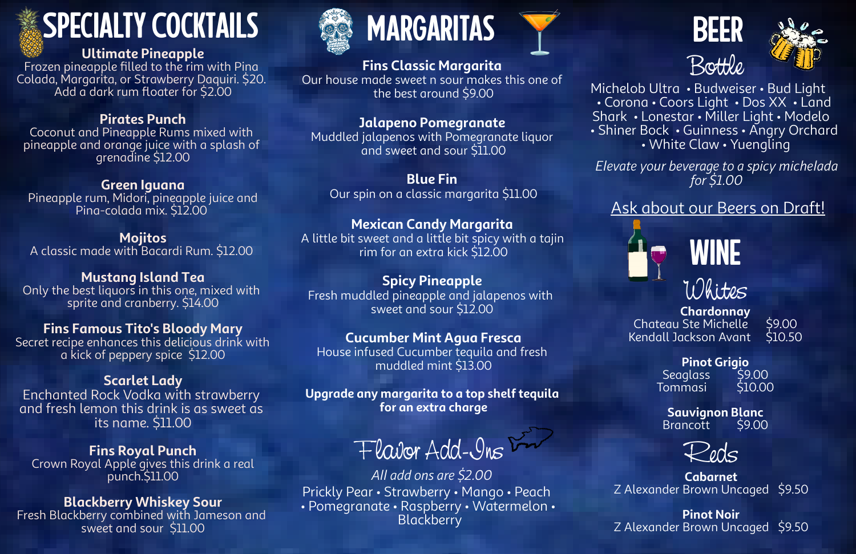Michelob Ultra • Budweiser • Bud Light • Corona • Coors Light • Dos XX • Land Shark • Lonestar • Miller Light • Modelo • Shiner Bock • Guinness • Angry Orchard • White Claw • Yuengling











Flavor Add-Ins

# SPECIALTY COCKTAILS

**Ultimate Pineapple**

Frozen pineapple filled to the rim with Pina Colada, Margarita, or Strawberry Daquiri. \$20. Add a dark rum floater for \$2.00

#### **Pirates Punch**

Coconut and Pineapple Rums mixed with pineapple and orange juice with a splash of grenadine \$12.00

#### **Green Iguana**

Pineapple rum, Midori, pineapple juice and Pina-colada mix. \$12.00

**Mojitos** A classic made with Bacardi Rum. \$12.00

**Mustang Island Tea** Only the best liquors in this one, mixed with sprite and cranberry. \$14.00

#### **Fins Famous Tito's Bloody Mary**

Secret recipe enhances this delicious drink with a kick of peppery spice \$12.00

#### **Scarlet Lady**

Enchanted Rock Vodka with strawberry and fresh lemon this drink is as sweet as its name. \$11.00

**Pinot Grigio** Seaglass \$9.00<br>Fommasi \$10.00 **Tommasi** 

#### **Fins Royal Punch** Crown Royal Apple gives this drink a real punch.\$11.00

**Sauvignon Blanc Brancott** 

#### **Blackberry Whiskey Sour**

Fresh Blackberry combined with Jameson and sweet and sour \$11.00



# MARGARITAS PORTUGALES

*All add ons are \$2.00* Prickly Pear • Strawberry • Mango • Peach • Pomegranate • Raspberry • Watermelon • Blackberry





### **Fins Classic Margarita**

Our house made sweet n sour makes this one of the best around \$9.00

### **Jalapeno Pomegranate**

Muddled jalapenos with Pomegranate liquor and sweet and sour \$11.00

**Blue Fin** Our spin on a classic margarita \$11.00

#### **Mexican Candy Margarita**

A little bit sweet and a little bit spicy with a tajin rim for an extra kick \$12.00

#### **Spicy Pineapple**

Fresh muddled pineapple and jalapenos with sweet and sour \$12.00

#### **Cucumber Mint Agua Fresca**

House infused Cucumber tequila and fresh muddled mint \$13.00

**Upgrade any margarita to a top shelf tequila for an extra charge**

> **Cabarnet** Z Alexander Brown Uncaged \$9.50

**Pinot Noir** Z Alexander Brown Uncaged \$9.50

**Chardonnay** Chateau Ste Michelle \$9.00 Kendall Jackson Avant \$10.50

*Elevate your beverage to a spicy michelada for \$1.00*

#### Ask about our Beers on Draft!